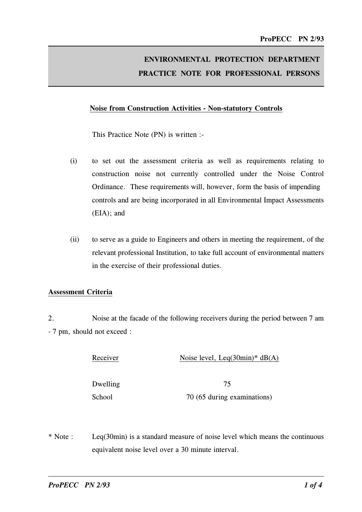# ENVIRONMENTAL PROTECTION DEPARTMENT PRACTICE NOTE FOR PROFESSIONAL PERSONS

#### Noise from Construction Activities - Non-statutory Controls

This Practice Note (PN) is written :-

- (i) to set out the assessment criteria as well as requirements relating to construction noise not currently controlled under the Noise Control Ordinance. These requirements will, however, form the basis of impending controls and are being incorporated in all Environmental Impact Assessments (EIA); and
- (ii) to serve as a guide to Engineers and others in meeting the requirement, of the relevant professional Institution, to take full account of environmental matters in the exercise of their professional duties.

# Assessment Criteria

2. Noise at the facade of the following receivers during the period between 7 am - 7 pm, should not exceed :

| Receiver | Noise level, Leq $(30\text{min})^*$ dB $(A)$ |
|----------|----------------------------------------------|
|          |                                              |

Dwelling 75

 $10^{10}$   $10^{10}$   $10^{10}$   $10^{10}$   $10^{10}$   $10^{10}$   $10^{10}$   $10^{10}$   $10^{10}$   $10^{10}$   $10^{10}$   $10^{10}$   $10^{10}$   $10^{10}$   $10^{10}$   $10^{10}$   $10^{10}$   $10^{10}$   $10^{10}$   $10^{10}$   $10^{10}$   $10^{10}$   $10^{10}$   $10^{10}$   $10^{1$ 

\* Note : Leq(30min) is a standard measure of noise level which means the continuous equivalent noise level over a 30 minute interval.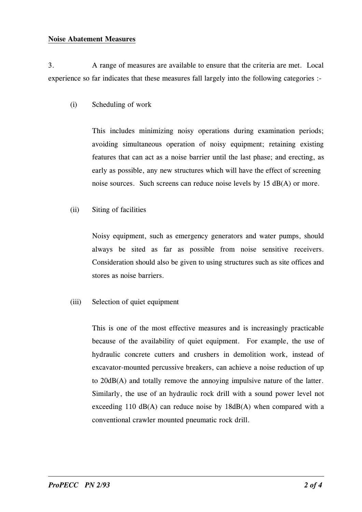#### Noise Abatement Measures

3. A range of measures are available to ensure that the criteria are met. Local experience so far indicates that these measures fall largely into the following categories :-

(i) Scheduling of work

 early as possible, any new structures which will have the effect of screening This includes minimizing noisy operations during examination periods; avoiding simultaneous operation of noisy equipment; retaining existing features that can act as a noise barrier until the last phase; and erecting, as noise sources. Such screens can reduce noise levels by  $15$  dB(A) or more.

(ii) Siting of facilities

Noisy equipment, such as emergency generators and water pumps, should always be sited as far as possible from noise sensitive receivers. Consideration should also be given to using structures such as site offices and stores as noise barriers.

(iii) Selection of quiet equipment

This is one of the most effective measures and is increasingly practicable because of the availability of quiet equipment. For example, the use of hydraulic concrete cutters and crushers in demolition work, instead of excavator-mounted percussive breakers, can achieve a noise reduction of up to 20dB(A) and totally remove the annoying impulsive nature of the latter. Similarly, the use of an hydraulic rock drill with a sound power level not exceeding 110  $\text{dB}(A)$  can reduce noise by 18dB(A) when compared with a conventional crawler mounted pneumatic rock drill.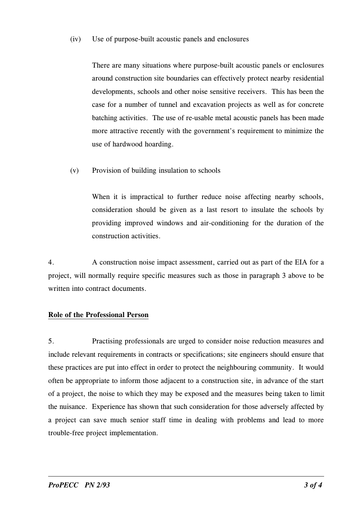#### (iv) Use of purpose-built acoustic panels and enclosures

There are many situations where purpose-built acoustic panels or enclosures around construction site boundaries can effectively protect nearby residential developments, schools and other noise sensitive receivers. This has been the case for a number of tunnel and excavation projects as well as for concrete batching activities. The use of re-usable metal acoustic panels has been made more attractive recently with the government's requirement to minimize the use of hardwood hoarding.

(v) Provision of building insulation to schools

When it is impractical to further reduce noise affecting nearby schools, consideration should be given as a last resort to insulate the schools by providing improved windows and air-conditioning for the duration of the construction activities.

4. A construction noise impact assessment, carried out as part of the EIA for a project, will normally require specific measures such as those in paragraph 3 above to be written into contract documents.

# Role of the Professional Person

、. Practising professionals are urged to consider noise reduction measures and include relevant requirements in contracts or specifications; site engineers should ensure that these practices are put into effect in order to protect the neighbouring community. It would often be appropriate to inform those adjacent to a construction site, in advance of the start of a project, the noise to which they may be exposed and the measures being taken to limit the nuisance. Experience has shown that such consideration for those adversely affected by a project can save much senior staff time in dealing with problems and lead to more trouble-free project implementation.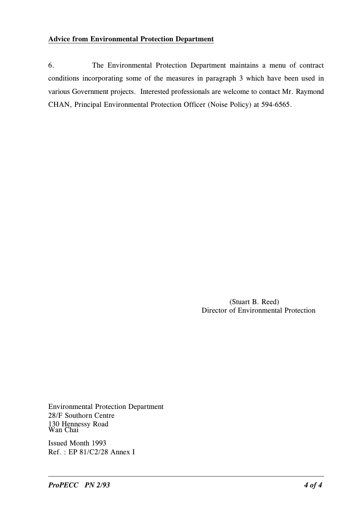# **Advice from Environmental Protection Department**

6. The Environmental Protection Department maintains a menu of contract conditions incorporating some of the measures in paragraph 3 which have been used in various Government projects. Interested professionals are welcome to contact Mr. Raymond CHAN, Principal Environmental Protection Officer (Noise Policy) at 594-6565.

> (Stuart B. Reed) Director of Environmental Protection

**Environmental Protection Department** 28/F Southorn Centre 130 Hennessy Road<br>Wan Chai

Issued Month 1993  $Ref. : EP 81/C2/28$  Annex I